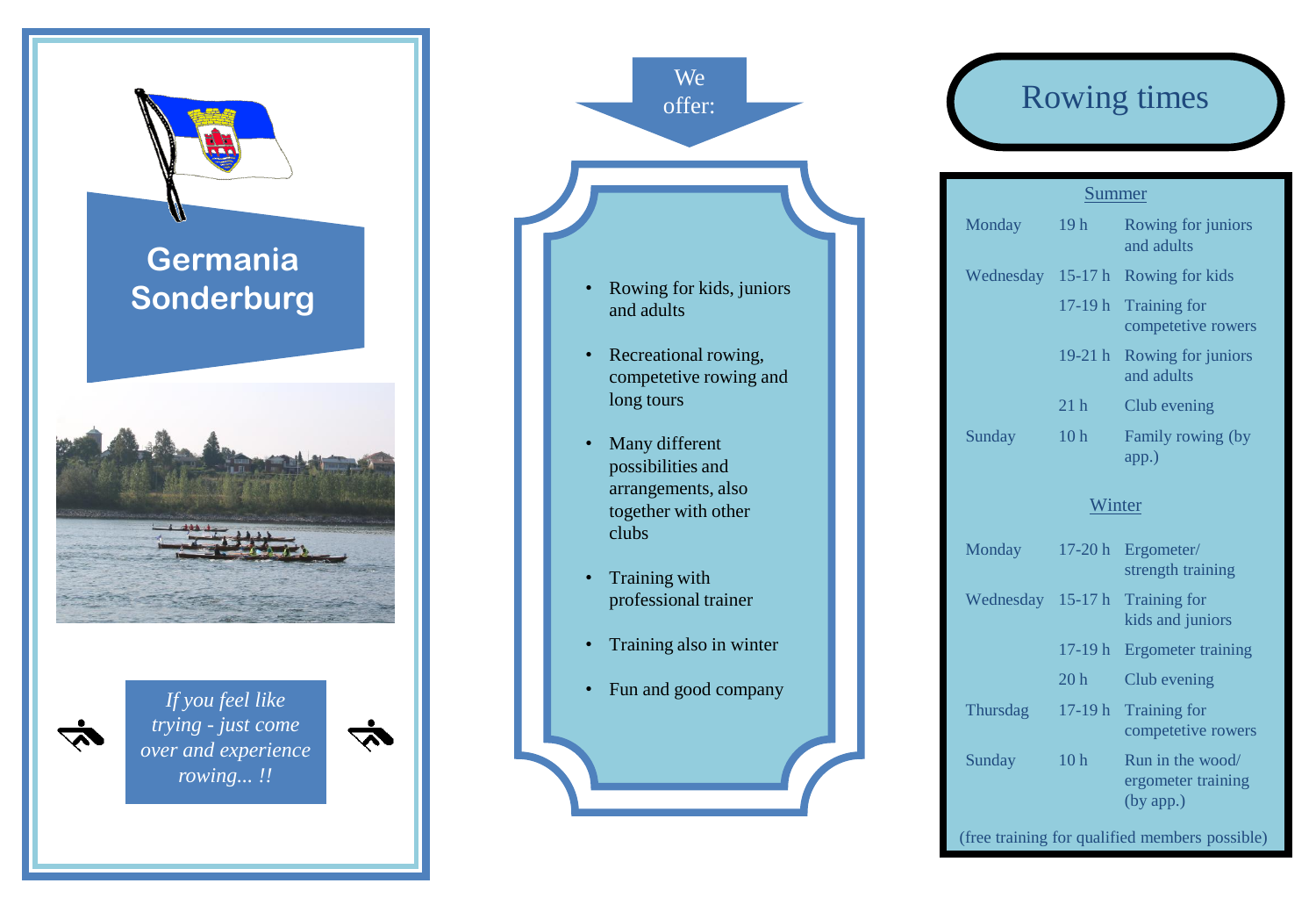